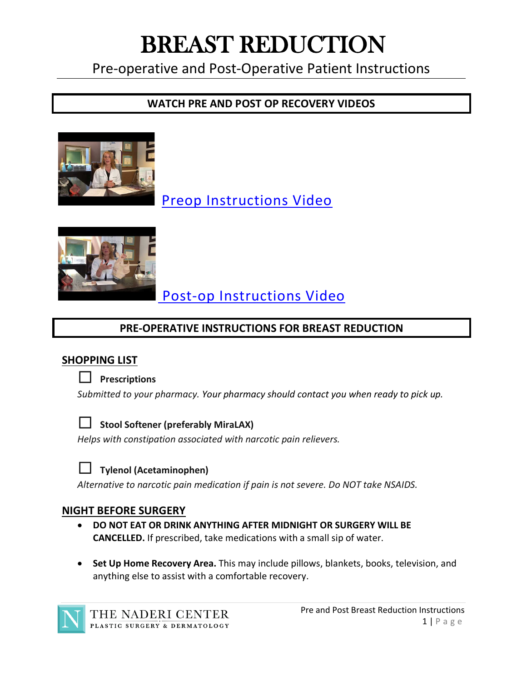# BREAST REDUCTION

Pre-operative and Post-Operative Patient Instructions

## **WATCH PRE AND POST OP RECOVERY VIDEOS**



[Preop Instructions Video](https://youtu.be/USRTbmOkACI)



[Post-op Instructions Video](https://youtu.be/e3ZrGIp29CI) 

# **PRE-OPERATIVE INSTRUCTIONS FOR BREAST REDUCTION**

## **SHOPPING LIST**

#### ☐ **Prescriptions**

*Submitted to your pharmacy. Your pharmacy should contact you when ready to pick up.* 



#### ☐ **Stool Softener (preferably MiraLAX)**

*Helps with constipation associated with narcotic pain relievers.*



#### ☐ **Tylenol (Acetaminophen)**

*Alternative to narcotic pain medication if pain is not severe. Do NOT take NSAIDS.*

#### **NIGHT BEFORE SURGERY**

- **DO NOT EAT OR DRINK ANYTHING AFTER MIDNIGHT OR SURGERY WILL BE CANCELLED.** If prescribed, take medications with a small sip of water.
- **Set Up Home Recovery Area.** This may include pillows, blankets, books, television, and anything else to assist with a comfortable recovery.

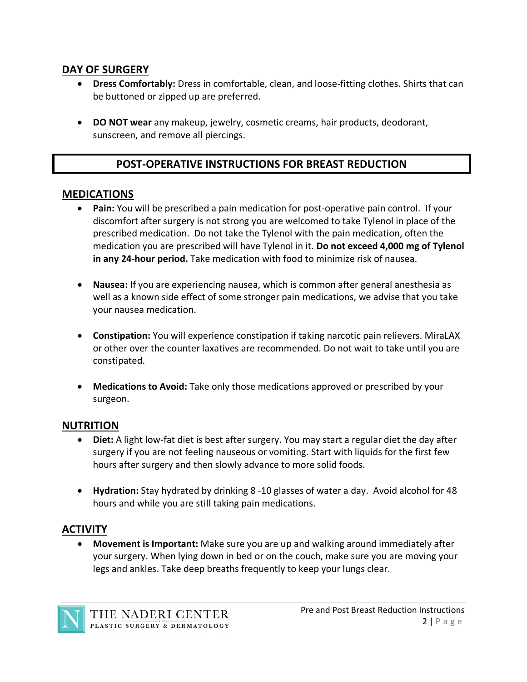#### **DAY OF SURGERY**

- **Dress Comfortably:** Dress in comfortable, clean, and loose-fitting clothes. Shirts that can be buttoned or zipped up are preferred.
- **DO NOT wear** any makeup, jewelry, cosmetic creams, hair products, deodorant, sunscreen, and remove all piercings.

## **POST-OPERATIVE INSTRUCTIONS FOR BREAST REDUCTION**

#### **MEDICATIONS**

- **Pain:** You will be prescribed a pain medication for post-operative pain control. If your discomfort after surgery is not strong you are welcomed to take Tylenol in place of the prescribed medication. Do not take the Tylenol with the pain medication, often the medication you are prescribed will have Tylenol in it. **Do not exceed 4,000 mg of Tylenol in any 24-hour period.** Take medication with food to minimize risk of nausea.
- **Nausea:** If you are experiencing nausea, which is common after general anesthesia as well as a known side effect of some stronger pain medications, we advise that you take your nausea medication.
- **Constipation:** You will experience constipation if taking narcotic pain relievers. MiraLAX or other over the counter laxatives are recommended. Do not wait to take until you are constipated.
- **Medications to Avoid:** Take only those medications approved or prescribed by your surgeon.

#### **NUTRITION**

- **Diet:** A light low-fat diet is best after surgery. You may start a regular diet the day after surgery if you are not feeling nauseous or vomiting. Start with liquids for the first few hours after surgery and then slowly advance to more solid foods.
- **Hydration:** Stay hydrated by drinking 8 -10 glasses of water a day. Avoid alcohol for 48 hours and while you are still taking pain medications.

## **ACTIVITY**

• **Movement is Important:** Make sure you are up and walking around immediately after your surgery. When lying down in bed or on the couch, make sure you are moving your legs and ankles. Take deep breaths frequently to keep your lungs clear.

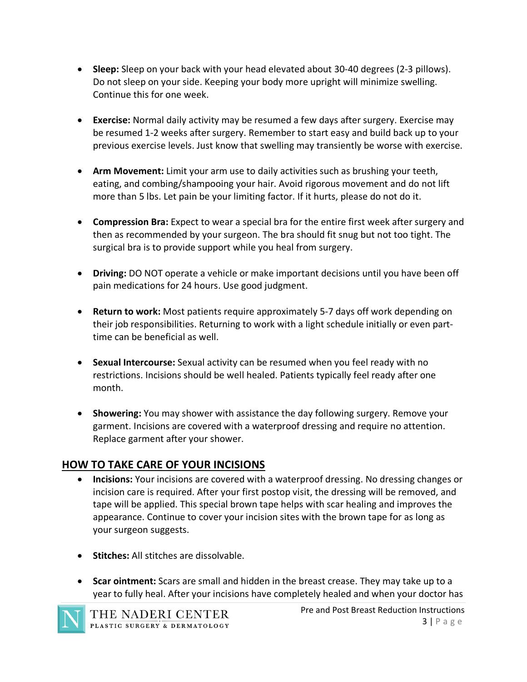- **Sleep:** Sleep on your back with your head elevated about 30-40 degrees (2-3 pillows). Do not sleep on your side. Keeping your body more upright will minimize swelling. Continue this for one week.
- **Exercise:** Normal daily activity may be resumed a few days after surgery. Exercise may be resumed 1-2 weeks after surgery. Remember to start easy and build back up to your previous exercise levels. Just know that swelling may transiently be worse with exercise.
- **Arm Movement:** Limit your arm use to daily activities such as brushing your teeth, eating, and combing/shampooing your hair. Avoid rigorous movement and do not lift more than 5 lbs. Let pain be your limiting factor. If it hurts, please do not do it.
- **Compression Bra:** Expect to wear a special bra for the entire first week after surgery and then as recommended by your surgeon. The bra should fit snug but not too tight. The surgical bra is to provide support while you heal from surgery.
- **Driving:** DO NOT operate a vehicle or make important decisions until you have been off pain medications for 24 hours. Use good judgment.
- **Return to work:** Most patients require approximately 5-7 days off work depending on their job responsibilities. Returning to work with a light schedule initially or even parttime can be beneficial as well.
- **Sexual Intercourse:** Sexual activity can be resumed when you feel ready with no restrictions. Incisions should be well healed. Patients typically feel ready after one month.
- **Showering:** You may shower with assistance the day following surgery. Remove your garment. Incisions are covered with a waterproof dressing and require no attention. Replace garment after your shower.

## **HOW TO TAKE CARE OF YOUR INCISIONS**

- **Incisions:** Your incisions are covered with a waterproof dressing. No dressing changes or incision care is required. After your first postop visit, the dressing will be removed, and tape will be applied. This special brown tape helps with scar healing and improves the appearance. Continue to cover your incision sites with the brown tape for as long as your surgeon suggests.
- **Stitches:** All stitches are dissolvable.
- **Scar ointment:** Scars are small and hidden in the breast crease. They may take up to a year to fully heal. After your incisions have completely healed and when your doctor has



THE NADERI CENTER PLASTIC SURGERY & DERMATOLOGY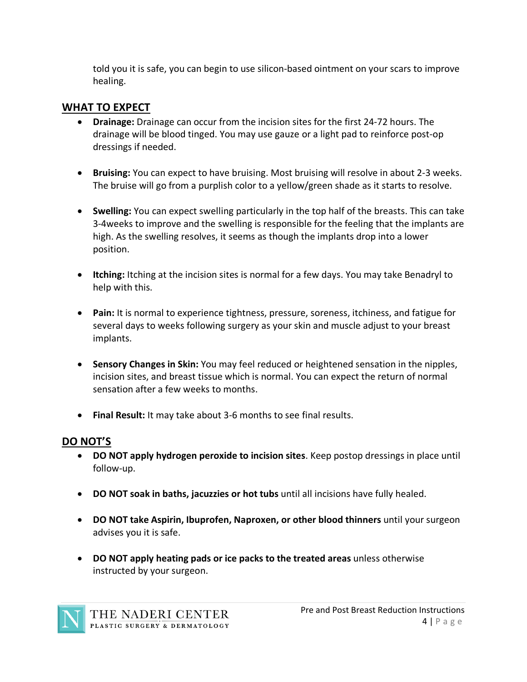told you it is safe, you can begin to use silicon-based ointment on your scars to improve healing.

#### **WHAT TO EXPECT**

- **Drainage:** Drainage can occur from the incision sites for the first 24-72 hours. The drainage will be blood tinged. You may use gauze or a light pad to reinforce post-op dressings if needed.
- **Bruising:** You can expect to have bruising. Most bruising will resolve in about 2-3 weeks. The bruise will go from a purplish color to a yellow/green shade as it starts to resolve.
- **Swelling:** You can expect swelling particularly in the top half of the breasts. This can take 3-4weeks to improve and the swelling is responsible for the feeling that the implants are high. As the swelling resolves, it seems as though the implants drop into a lower position.
- **Itching:** Itching at the incision sites is normal for a few days. You may take Benadryl to help with this.
- **Pain:** It is normal to experience tightness, pressure, soreness, itchiness, and fatigue for several days to weeks following surgery as your skin and muscle adjust to your breast implants.
- **Sensory Changes in Skin:** You may feel reduced or heightened sensation in the nipples, incision sites, and breast tissue which is normal. You can expect the return of normal sensation after a few weeks to months.
- **Final Result:** It may take about 3-6 months to see final results.

## **DO NOT'S**

- **DO NOT apply hydrogen peroxide to incision sites**. Keep postop dressings in place until follow-up.
- **DO NOT soak in baths, jacuzzies or hot tubs** until all incisions have fully healed.
- **DO NOT take Aspirin, Ibuprofen, Naproxen, or other blood thinners** until your surgeon advises you it is safe.
- **DO NOT apply heating pads or ice packs to the treated areas** unless otherwise instructed by your surgeon.